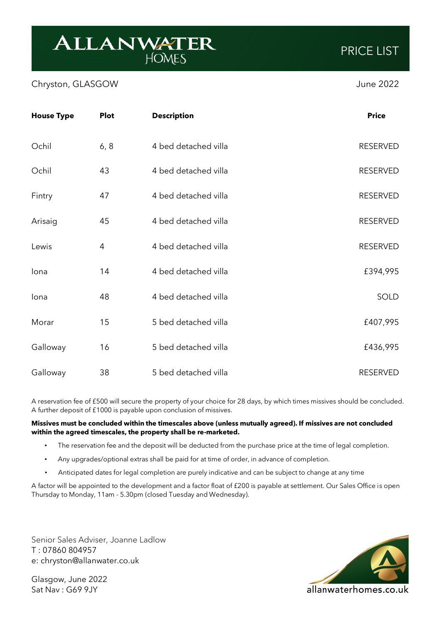## **ALLANWATER**

## Chryston, GLASGOW June 2022

| <b>House Type</b> | <b>Plot</b> | <b>Description</b>   | <b>Price</b>    |
|-------------------|-------------|----------------------|-----------------|
| Ochil             | 6, 8        | 4 bed detached villa | <b>RESERVED</b> |
| Ochil             | 43          | 4 bed detached villa | <b>RESERVED</b> |
| Fintry            | 47          | 4 bed detached villa | <b>RESERVED</b> |
| Arisaig           | 45          | 4 bed detached villa | <b>RESERVED</b> |
| Lewis             | 4           | 4 bed detached villa | <b>RESERVED</b> |
| lona              | 14          | 4 bed detached villa | £394,995        |
| lona              | 48          | 4 bed detached villa | SOLD            |
| Morar             | 15          | 5 bed detached villa | £407,995        |
| Galloway          | 16          | 5 bed detached villa | £436,995        |
| Galloway          | 38          | 5 bed detached villa | <b>RESERVED</b> |

A reservation fee of £500 will secure the property of your choice for 28 days, by which times missives should be concluded. A further deposit of £1000 is payable upon conclusion of missives.

## **Missives must be concluded within the timescales above (unless mutually agreed). If missives are not concluded within the agreed timescales, the property shall be re-marketed.**

- The reservation fee and the deposit will be deducted from the purchase price at the time of legal completion.
- Any upgrades/optional extras shall be paid for at time of order, in advance of completion.
- Anticipated dates for legal completion are purely indicative and can be subject to change at any time

A factor will be appointed to the development and a factor float of £200 is payable at settlement. Our Sales Office is open Thursday to Monday, 11am - 5.30pm (closed Tuesday and Wednesday).

Senior Sales Adviser, Joanne Ladlow T : 07860 804957 e: chryston@allanwater.co.uk

Glasgow, June 2022 Sat Nav : G69 9JY